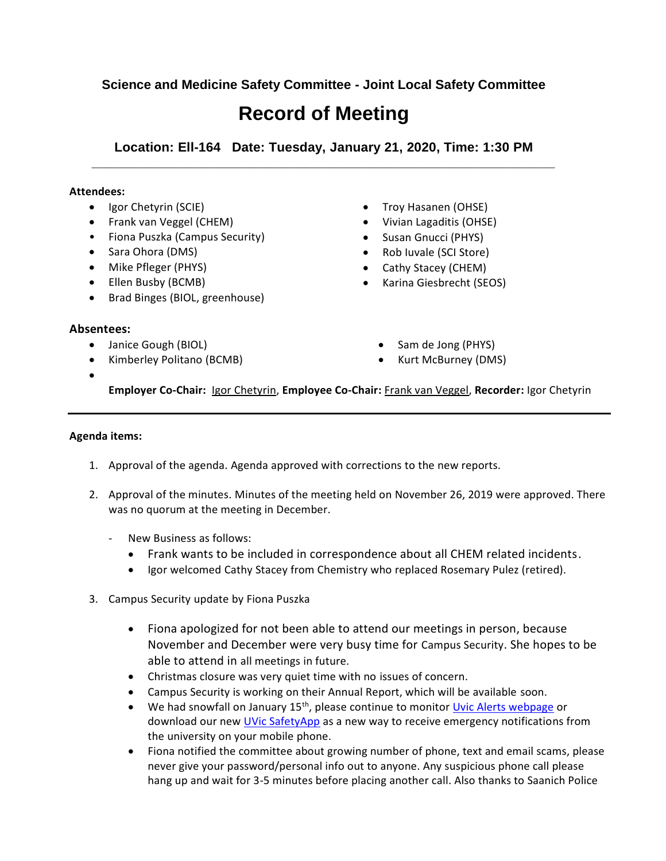# **Science and Medicine Safety Committee - Joint Local Safety Committee**

# **Record of Meeting**

**Location: Ell-164 Date: Tuesday, January 21, 2020, Time: 1:30 PM \_\_\_\_\_\_\_\_\_\_\_\_\_\_\_\_\_\_\_\_\_\_\_\_\_\_\_\_\_\_\_\_\_\_\_\_\_\_\_\_\_\_\_\_\_\_\_\_\_\_\_\_\_\_\_\_\_\_\_\_\_\_\_**

#### **Attendees:**

- Igor Chetyrin (SCIE)
- Frank van Veggel (CHEM)
- Fiona Puszka (Campus Security)
- Sara Ohora (DMS)
- Mike Pfleger (PHYS)
- Ellen Busby (BCMB)
- Brad Binges (BIOL, greenhouse)
- 

## **Absentees:**

 $\bullet$ 

- Janice Gough (BIOL)
- Kimberley Politano (BCMB)
- Troy Hasanen (OHSE)
- Vivian Lagaditis (OHSE)
- Susan Gnucci (PHYS)
- Rob Iuvale (SCI Store)
- Cathy Stacey (CHEM)
- Karina Giesbrecht (SEOS)
	- Sam de Jong (PHYS)
	- Kurt McBurney (DMS)

**Employer Co-Chair:** Igor Chetyrin, **Employee Co-Chair:** Frank van Veggel, **Recorder:** Igor Chetyrin

#### **Agenda items:**

- 1. Approval of the agenda. Agenda approved with corrections to the new reports.
- 2. Approval of the minutes. Minutes of the meeting held on November 26, 2019 were approved. There was no quorum at the meeting in December.
	- New Business as follows:
		- Frank wants to be included in correspondence about all CHEM related incidents.
		- Igor welcomed Cathy Stacey from Chemistry who replaced Rosemary Pulez (retired).
- 3. Campus Security update by Fiona Puszka
	- Fiona apologized for not been able to attend our meetings in person, because November and December were very busy time for Campus Security. She hopes to be able to attend in all meetings in future.
	- Christmas closure was very quiet time with no issues of concern.
	- Campus Security is working on their Annual Report, which will be available soon.
	- **•** We had snowfall on January 15<sup>th</sup>, please continue to monitor [Uvic Alerts webpage](https://www.uvic.ca/services/emergency/be-prepared/alerts/) or download our new *UVic SafetyApp* as a new way to receive emergency notifications from the university on your mobile phone.
	- Fiona notified the committee about growing number of phone, text and email scams, please never give your password/personal info out to anyone. Any suspicious phone call please hang up and wait for 3-5 minutes before placing another call. Also thanks to Saanich Police